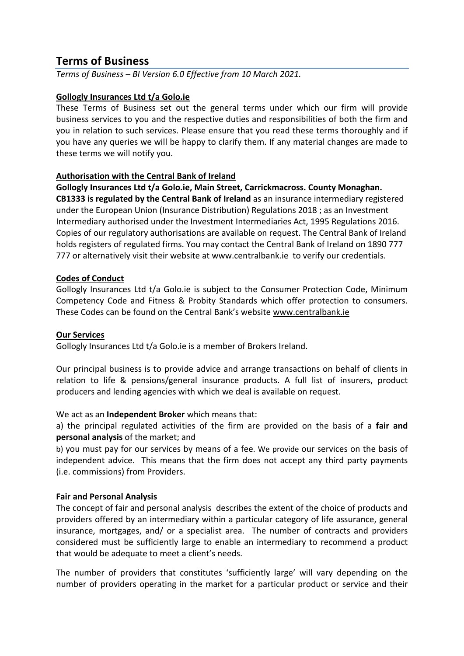# **Terms of Business**

*Terms of Business – BI Version 6.0 Effective from 10 March 2021.* 

### **Gollogly Insurances Ltd t/a Golo.ie**

These Terms of Business set out the general terms under which our firm will provide business services to you and the respective duties and responsibilities of both the firm and you in relation to such services. Please ensure that you read these terms thoroughly and if you have any queries we will be happy to clarify them. If any material changes are made to these terms we will notify you.

### **Authorisation with the Central Bank of Ireland**

**Gollogly Insurances Ltd t/a Golo.ie, Main Street, Carrickmacross. County Monaghan. CB1333 is regulated by the Central Bank of Ireland** as an insurance intermediary registered under the European Union (Insurance Distribution) Regulations 2018 ; as an Investment Intermediary authorised under the Investment Intermediaries Act, 1995 Regulations 2016. Copies of our regulatory authorisations are available on request. The Central Bank of Ireland holds registers of regulated firms. You may contact the Central Bank of Ireland on 1890 777 777 or alternatively visit their website at [www.centralbank.ie](http://www.centralbank.ie/) to verify our credentials.

### **Codes of Conduct**

Gollogly Insurances Ltd t/a Golo.ie is subject to the Consumer Protection Code, Minimum Competency Code and Fitness & Probity Standards which offer protection to consumers. These Codes can be found on the Central Bank's website [www.centralbank.ie](http://www.centralbank.ie/)

### **Our Services**

Gollogly Insurances Ltd t/a Golo.ie is a member of Brokers Ireland.

Our principal business is to provide advice and arrange transactions on behalf of clients in relation to life & pensions/general insurance products. A full list of insurers, product producers and lending agencies with which we deal is available on request.

We act as an **Independent Broker** which means that:

a) the principal regulated activities of the firm are provided on the basis of a **fair and personal analysis** of the market; and

b) you must pay for our services by means of a fee. We provide our services on the basis of independent advice. This means that the firm does not accept any third party payments (i.e. commissions) from Providers.

### **Fair and Personal Analysis**

The concept of fair and personal analysis describes the extent of the choice of products and providers offered by an intermediary within a particular category of life assurance, general insurance, mortgages, and/ or a specialist area. The number of contracts and providers considered must be sufficiently large to enable an intermediary to recommend a product that would be adequate to meet a client's needs.

The number of providers that constitutes 'sufficiently large' will vary depending on the number of providers operating in the market for a particular product or service and their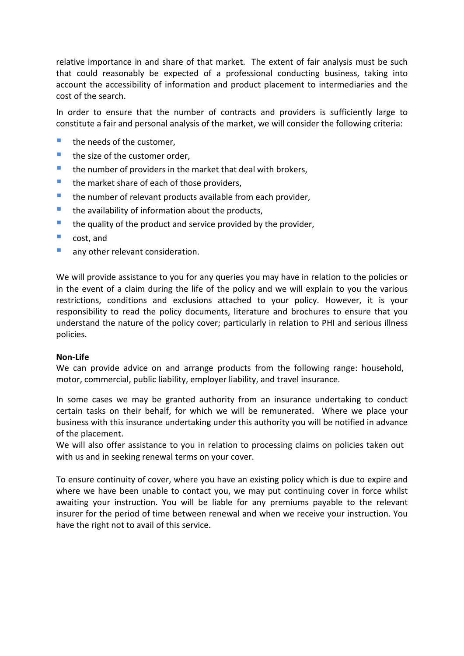relative importance in and share of that market. The extent of fair analysis must be such that could reasonably be expected of a professional conducting business, taking into account the accessibility of information and product placement to intermediaries and the cost of the search.

In order to ensure that the number of contracts and providers is sufficiently large to constitute a fair and personal analysis of the market, we will consider the following criteria:

- $\blacksquare$  the needs of the customer.
- $\blacksquare$  the size of the customer order,
- $\blacksquare$  the number of providers in the market that deal with brokers,
- $\blacksquare$  the market share of each of those providers,
- **the number of relevant products available from each provider,**
- $\blacksquare$  the availability of information about the products,
- $\blacksquare$  the quality of the product and service provided by the provider,
- **Cost**, and
- **any other relevant consideration.**

We will provide assistance to you for any queries you may have in relation to the policies or in the event of a claim during the life of the policy and we will explain to you the various restrictions, conditions and exclusions attached to your policy. However, it is your responsibility to read the policy documents, literature and brochures to ensure that you understand the nature of the policy cover; particularly in relation to PHI and serious illness policies.

#### **Non-Life**

We can provide advice on and arrange products from the following range: household, motor, commercial, public liability, employer liability, and travel insurance.

In some cases we may be granted authority from an insurance undertaking to conduct certain tasks on their behalf, for which we will be remunerated. Where we place your business with this insurance undertaking under this authority you will be notified in advance of the placement.

We will also offer assistance to you in relation to processing claims on policies taken out with us and in seeking renewal terms on your cover.

To ensure continuity of cover, where you have an existing policy which is due to expire and where we have been unable to contact you, we may put continuing cover in force whilst awaiting your instruction. You will be liable for any premiums payable to the relevant insurer for the period of time between renewal and when we receive your instruction. You have the right not to avail of this service.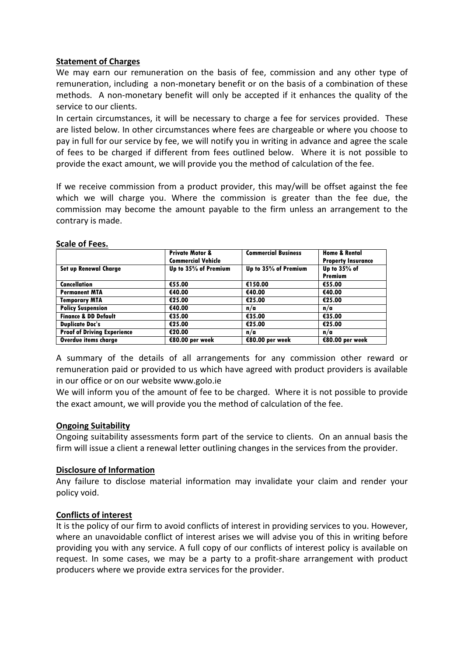### **Statement of Charges**

We may earn our remuneration on the basis of fee, commission and any other type of remuneration, including a non-monetary benefit or on the basis of a combination of these methods. A non-monetary benefit will only be accepted if it enhances the quality of the service to our clients.

In certain circumstances, it will be necessary to charge a fee for services provided. These are listed below. In other circumstances where fees are chargeable or where you choose to pay in full for our service by fee, we will notify you in writing in advance and agree the scale of fees to be charged if different from fees outlined below. Where it is not possible to provide the exact amount, we will provide you the method of calculation of the fee.

If we receive commission from a product provider, this may/will be offset against the fee which we will charge you. Where the commission is greater than the fee due, the commission may become the amount payable to the firm unless an arrangement to the contrary is made.

|                                    | <b>Private Motor &amp;</b><br><b>Commercial Vehicle</b> | <b>Commercial Business</b> | <b>Home &amp; Rental</b><br><b>Property Insurance</b> |
|------------------------------------|---------------------------------------------------------|----------------------------|-------------------------------------------------------|
| <b>Set up Renewal Charge</b>       | Up to 35% of Premium                                    | Up to 35% of Premium       | Up to 35% of                                          |
| <b>Cancellation</b>                | €55.00                                                  | €150.00                    | Premium<br>€55.00                                     |
| <b>Permanent MTA</b>               | €40.00                                                  | €40.00                     | €40.00                                                |
| <b>Temporary MTA</b>               | €25.00                                                  | €25.00                     | €25.00                                                |
| <b>Policy Suspension</b>           | €40.00                                                  | n/a                        | n/a                                                   |
| <b>Finance &amp; DD Default</b>    | €35.00                                                  | €35.00                     | €35.00                                                |
| <b>Duplicate Doc's</b>             | €25.00                                                  | €25.00                     | €25.00                                                |
| <b>Proof of Driving Experience</b> | €20.00                                                  | n/a                        | n/a                                                   |
| Overdue items charge               | €80.00 per week                                         | €80.00 per week            | €80.00 per week                                       |

#### **Scale of Fees.**

A summary of the details of all arrangements for any commission other reward or remuneration paid or provided to us which have agreed with product providers is available in our office or on our website www.golo.ie

We will inform you of the amount of fee to be charged. Where it is not possible to provide the exact amount, we will provide you the method of calculation of the fee.

#### **Ongoing Suitability**

Ongoing suitability assessments form part of the service to clients. On an annual basis the firm will issue a client a renewal letter outlining changes in the services from the provider.

### **Disclosure of Information**

Any failure to disclose material information may invalidate your claim and render your policy void.

### **Conflicts of interest**

It is the policy of our firm to avoid conflicts of interest in providing services to you. However, where an unavoidable conflict of interest arises we will advise you of this in writing before providing you with any service. A full copy of our conflicts of interest policy is available on request. In some cases, we may be a party to a profit-share arrangement with product producers where we provide extra services for the provider.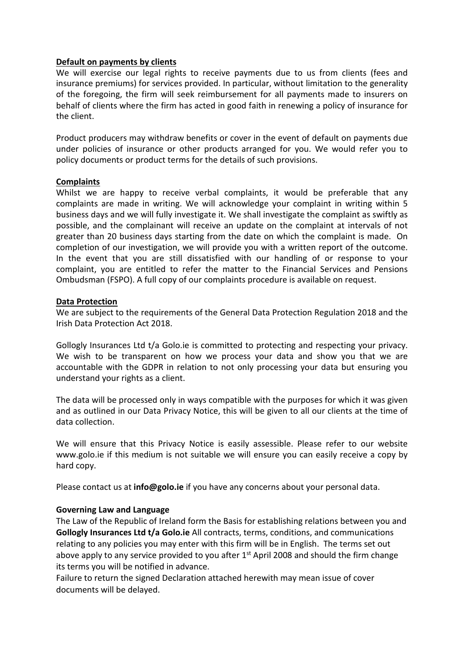#### **Default on payments by clients**

We will exercise our legal rights to receive payments due to us from clients (fees and insurance premiums) for services provided. In particular, without limitation to the generality of the foregoing, the firm will seek reimbursement for all payments made to insurers on behalf of clients where the firm has acted in good faith in renewing a policy of insurance for the client.

Product producers may withdraw benefits or cover in the event of default on payments due under policies of insurance or other products arranged for you. We would refer you to policy documents or product terms for the details of such provisions.

### **Complaints**

Whilst we are happy to receive verbal complaints, it would be preferable that any complaints are made in writing. We will acknowledge your complaint in writing within 5 business days and we will fully investigate it. We shall investigate the complaint as swiftly as possible, and the complainant will receive an update on the complaint at intervals of not greater than 20 business days starting from the date on which the complaint is made. On completion of our investigation, we will provide you with a written report of the outcome. In the event that you are still dissatisfied with our handling of or response to your complaint, you are entitled to refer the matter to the Financial Services and Pensions Ombudsman (FSPO). A full copy of our complaints procedure is available on request.

#### **Data Protection**

We are subject to the requirements of the General Data Protection Regulation 2018 and the Irish Data Protection Act 2018.

Gollogly Insurances Ltd t/a Golo.ie is committed to protecting and respecting your privacy. We wish to be transparent on how we process your data and show you that we are accountable with the GDPR in relation to not only processing your data but ensuring you understand your rights as a client.

The data will be processed only in ways compatible with the purposes for which it was given and as outlined in our Data Privacy Notice, this will be given to all our clients at the time of data collection.

We will ensure that this Privacy Notice is easily assessible. Please refer to our website www.golo.ie if this medium is not suitable we will ensure you can easily receive a copy by hard copy.

Please contact us at **info@golo.ie** if you have any concerns about your personal data.

### **Governing Law and Language**

The Law of the Republic of Ireland form the Basis for establishing relations between you and **Gollogly Insurances Ltd t/a Golo.ie** All contracts, terms, conditions, and communications relating to any policies you may enter with this firm will be in English. The terms set out above apply to any service provided to you after  $1<sup>st</sup>$  April 2008 and should the firm change its terms you will be notified in advance.

Failure to return the signed Declaration attached herewith may mean issue of cover documents will be delayed.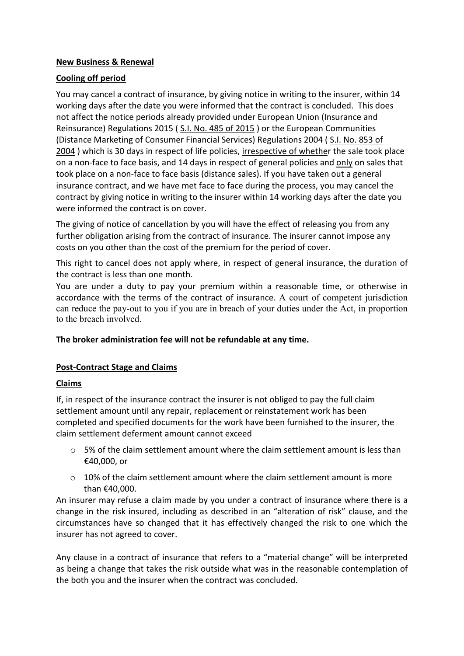### **New Business & Renewal**

### **Cooling off period**

You may cancel a contract of insurance, by giving notice in writing to the insurer, within 14 working days after the date you were informed that the contract is concluded. This does not affect the notice periods already provided under European Union (Insurance and Reinsurance) Regulations 2015 ( [S.I. No. 485 of 2015](http://www.irishstatutebook.ie/2015/en/si/0485.html) ) or the European Communities (Distance Marketing of Consumer Financial Services) Regulations 2004 ( [S.I. No. 853 of](http://www.irishstatutebook.ie/2004/en/si/0853.html)  [2004](http://www.irishstatutebook.ie/2004/en/si/0853.html)) which is 30 days in respect of life policies, irrespective of whether the sale took place on a non-face to face basis, and 14 days in respect of general policies and only on sales that took place on a non-face to face basis (distance sales). If you have taken out a general insurance contract, and we have met face to face during the process, you may cancel the contract by giving notice in writing to the insurer within 14 working days after the date you were informed the contract is on cover.

The giving of notice of cancellation by you will have the effect of releasing you from any further obligation arising from the contract of insurance. The insurer cannot impose any costs on you other than the cost of the premium for the period of cover.

This right to cancel does not apply where, in respect of general insurance, the duration of the contract is less than one month.

You are under a duty to pay your premium within a reasonable time, or otherwise in accordance with the terms of the contract of insurance. A court of competent jurisdiction can reduce the pay-out to you if you are in breach of your duties under the Act, in proportion to the breach involved.

### **The broker administration fee will not be refundable at any time.**

## **Post-Contract Stage and Claims**

### **Claims**

If, in respect of the insurance contract the insurer is not obliged to pay the full claim settlement amount until any repair, replacement or reinstatement work has been completed and specified documents for the work have been furnished to the insurer, the claim settlement deferment amount cannot exceed

- o 5% of the claim settlement amount where the claim settlement amount is less than €40,000, or
- $\circ$  10% of the claim settlement amount where the claim settlement amount is more than €40,000.

An insurer may refuse a claim made by you under a contract of insurance where there is a change in the risk insured, including as described in an "alteration of risk" clause, and the circumstances have so changed that it has effectively changed the risk to one which the insurer has not agreed to cover.

Any clause in a contract of insurance that refers to a "material change" will be interpreted as being a change that takes the risk outside what was in the reasonable contemplation of the both you and the insurer when the contract was concluded.